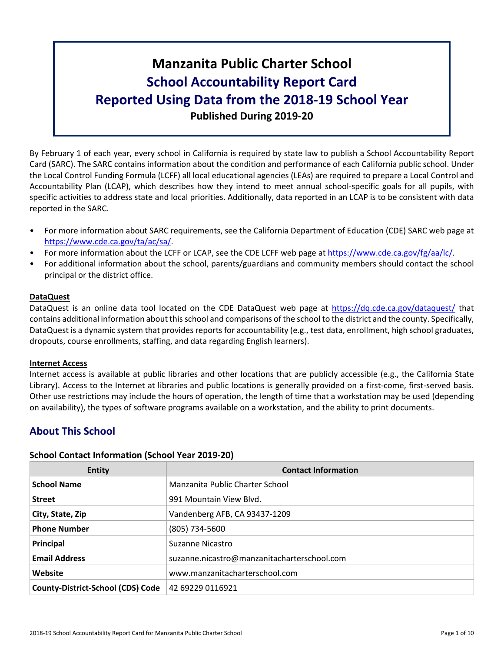# **Manzanita Public Charter School School Accountability Report Card Reported Using Data from the 2018-19 School Year Published During 2019-20**

By February 1 of each year, every school in California is required by state law to publish a School Accountability Report Card (SARC). The SARC contains information about the condition and performance of each California public school. Under the Local Control Funding Formula (LCFF) all local educational agencies (LEAs) are required to prepare a Local Control and Accountability Plan (LCAP), which describes how they intend to meet annual school-specific goals for all pupils, with specific activities to address state and local priorities. Additionally, data reported in an LCAP is to be consistent with data reported in the SARC.

- For more information about SARC requirements, see the California Department of Education (CDE) SARC web page at [https://www.cde.ca.gov/ta/ac/sa/.](https://www.cde.ca.gov/ta/ac/sa/)
- For more information about the LCFF or LCAP, see the CDE LCFF web page at [https://www.cde.ca.gov/fg/aa/lc/.](https://www.cde.ca.gov/fg/aa/lc/)
- For additional information about the school, parents/guardians and community members should contact the school principal or the district office.

## **DataQuest**

DataQuest is an online data tool located on the CDE DataQuest web page at <https://dq.cde.ca.gov/dataquest/> that contains additional information about thisschool and comparisons of the school to the district and the county. Specifically, DataQuest is a dynamic system that provides reports for accountability (e.g., test data, enrollment, high school graduates, dropouts, course enrollments, staffing, and data regarding English learners).

## **Internet Access**

Internet access is available at public libraries and other locations that are publicly accessible (e.g., the California State Library). Access to the Internet at libraries and public locations is generally provided on a first-come, first-served basis. Other use restrictions may include the hours of operation, the length of time that a workstation may be used (depending on availability), the types of software programs available on a workstation, and the ability to print documents.

## **About This School**

## **School Contact Information (School Year 2019-20)**

| <b>Entity</b>                            | <b>Contact Information</b>                  |
|------------------------------------------|---------------------------------------------|
| <b>School Name</b>                       | Manzanita Public Charter School             |
| <b>Street</b>                            | 991 Mountain View Blyd.                     |
| City, State, Zip                         | Vandenberg AFB, CA 93437-1209               |
| <b>Phone Number</b>                      | (805) 734-5600                              |
| Principal                                | Suzanne Nicastro                            |
| <b>Email Address</b>                     | suzanne.nicastro@manzanitacharterschool.com |
| Website                                  | www.manzanitacharterschool.com              |
| <b>County-District-School (CDS) Code</b> | 42 69229 0116921                            |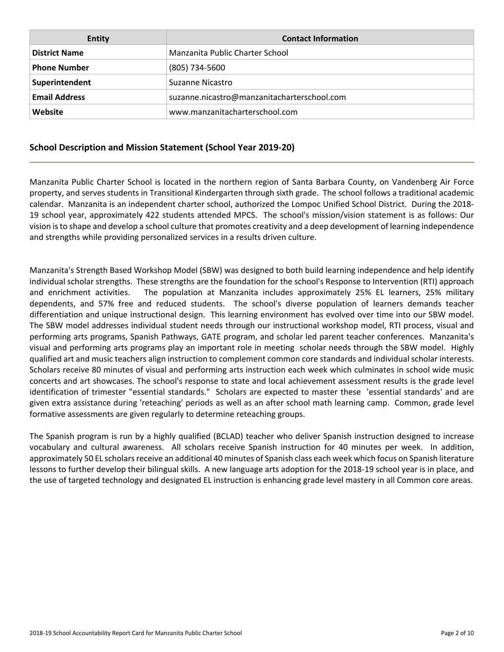| Entity               | <b>Contact Information</b>                  |
|----------------------|---------------------------------------------|
| <b>District Name</b> | Manzanita Public Charter School             |
| <b>Phone Number</b>  | (805) 734-5600                              |
| Superintendent       | Suzanne Nicastro                            |
| <b>Email Address</b> | suzanne.nicastro@manzanitacharterschool.com |
| Website              | www.manzanitacharterschool.com              |

## **School Description and Mission Statement (School Year 2019-20)**

Manzanita Public Charter School is located in the northern region of Santa Barbara County, on Vandenberg Air Force property, and serves students in Transitional Kindergarten through sixth grade. The school follows a traditional academic calendar. Manzanita is an independent charter school, authorized the Lompoc Unified School District. During the 2018- 19 school year, approximately 422 students attended MPCS. The school's mission/vision statement is as follows: Our vision isto shape and develop a school culture that promotes creativity and a deep development of learning independence and strengths while providing personalized services in a results driven culture.

Manzanita's Strength Based Workshop Model (SBW) was designed to both build learning independence and help identify individual scholar strengths. These strengths are the foundation for the school's Response to Intervention (RTI) approach and enrichment activities. The population at Manzanita includes approximately 25% EL learners, 25% military dependents, and 57% free and reduced students. The school's diverse population of learners demands teacher differentiation and unique instructional design. This learning environment has evolved over time into our SBW model. The SBW model addresses individual student needs through our instructional workshop model, RTI process, visual and performing arts programs, Spanish Pathways, GATE program, and scholar led parent teacher conferences. Manzanita's visual and performing arts programs play an important role in meeting scholar needs through the SBW model. Highly qualified art and music teachers align instruction to complement common core standards and individual scholar interests. Scholars receive 80 minutes of visual and performing arts instruction each week which culminates in school wide music concerts and art showcases. The school's response to state and local achievement assessment results is the grade level identification of trimester "essential standards." Scholars are expected to master these 'essential standards' and are given extra assistance during 'reteaching' periods as well as an after school math learning camp. Common, grade level formative assessments are given regularly to determine reteaching groups.

The Spanish program is run by a highly qualified (BCLAD) teacher who deliver Spanish instruction designed to increase vocabulary and cultural awareness. All scholars receive Spanish instruction for 40 minutes per week. In addition, approximately 50 EL scholars receive an additional 40 minutes of Spanish class each week which focus on Spanish literature lessons to further develop their bilingual skills. A new language arts adoption for the 2018-19 school year is in place, and the use of targeted technology and designated EL instruction is enhancing grade level mastery in all Common core areas.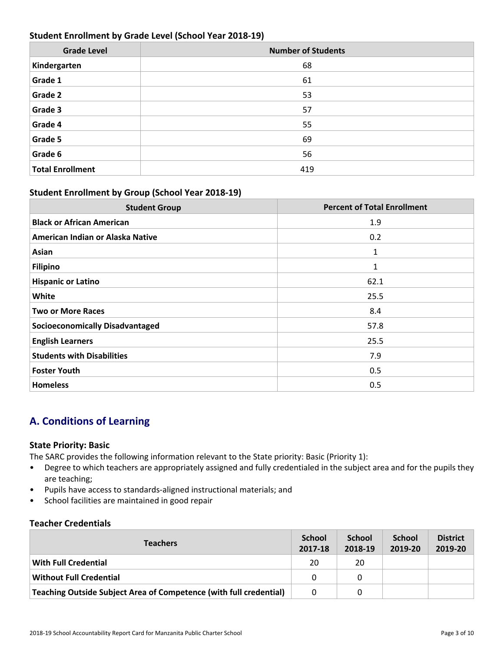## **Student Enrollment by Grade Level (School Year 2018-19)**

| <b>Grade Level</b>      | <b>Number of Students</b> |
|-------------------------|---------------------------|
| Kindergarten            | 68                        |
| Grade 1                 | 61                        |
| Grade 2                 | 53                        |
| Grade 3                 | 57                        |
| Grade 4                 | 55                        |
| Grade 5                 | 69                        |
| Grade 6                 | 56                        |
| <b>Total Enrollment</b> | 419                       |

## **Student Enrollment by Group (School Year 2018-19)**

| <b>Student Group</b>                   | <b>Percent of Total Enrollment</b> |
|----------------------------------------|------------------------------------|
| <b>Black or African American</b>       | 1.9                                |
| American Indian or Alaska Native       | 0.2                                |
| Asian                                  | 1                                  |
| <b>Filipino</b>                        | 1                                  |
| <b>Hispanic or Latino</b>              | 62.1                               |
| White                                  | 25.5                               |
| <b>Two or More Races</b>               | 8.4                                |
| <b>Socioeconomically Disadvantaged</b> | 57.8                               |
| <b>English Learners</b>                | 25.5                               |
| <b>Students with Disabilities</b>      | 7.9                                |
| <b>Foster Youth</b>                    | 0.5                                |
| <b>Homeless</b>                        | 0.5                                |

## **A. Conditions of Learning**

## **State Priority: Basic**

The SARC provides the following information relevant to the State priority: Basic (Priority 1):

- Degree to which teachers are appropriately assigned and fully credentialed in the subject area and for the pupils they are teaching;
- Pupils have access to standards-aligned instructional materials; and
- School facilities are maintained in good repair

## **Teacher Credentials**

| <b>Teachers</b>                                                    |          | <b>School</b><br>2018-19 | <b>School</b><br>2019-20 | <b>District</b><br>2019-20 |
|--------------------------------------------------------------------|----------|--------------------------|--------------------------|----------------------------|
| <b>With Full Credential</b>                                        | 20       | 20                       |                          |                            |
| <b>Without Full Credential</b>                                     | 0        | 0                        |                          |                            |
| Teaching Outside Subject Area of Competence (with full credential) | $\Omega$ | 0                        |                          |                            |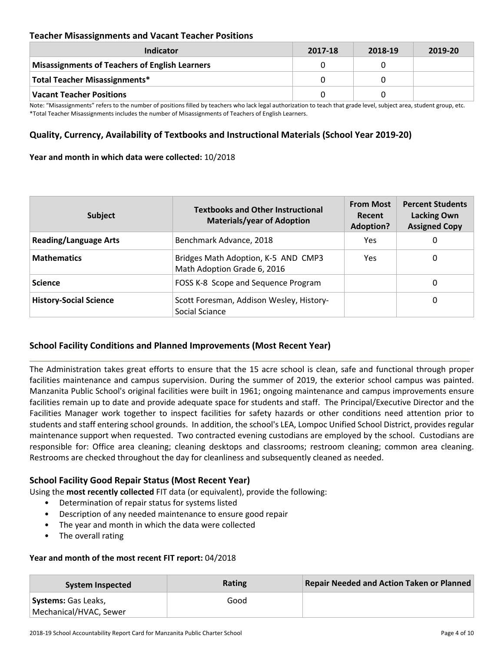## **Teacher Misassignments and Vacant Teacher Positions**

| Indicator                                             | 2017-18 | 2018-19 | 2019-20 |
|-------------------------------------------------------|---------|---------|---------|
| <b>Misassignments of Teachers of English Learners</b> |         |         |         |
| Total Teacher Misassignments*                         |         |         |         |
| <b>Vacant Teacher Positions</b>                       |         |         |         |

Note: "Misassignments" refers to the number of positions filled by teachers who lack legal authorization to teach that grade level, subject area, student group, etc. \*Total Teacher Misassignments includes the number of Misassignments of Teachers of English Learners.

## **Quality, Currency, Availability of Textbooks and Instructional Materials (School Year 2019-20)**

## **Year and month in which data were collected:** 10/2018

| <b>Subject</b>                | <b>Textbooks and Other Instructional</b><br><b>Materials/year of Adoption</b> | <b>From Most</b><br>Recent<br><b>Adoption?</b> | <b>Percent Students</b><br><b>Lacking Own</b><br><b>Assigned Copy</b> |
|-------------------------------|-------------------------------------------------------------------------------|------------------------------------------------|-----------------------------------------------------------------------|
| <b>Reading/Language Arts</b>  | Benchmark Advance, 2018                                                       | <b>Yes</b>                                     | 0                                                                     |
| <b>Mathematics</b>            | Bridges Math Adoption, K-5 AND CMP3<br>Math Adoption Grade 6, 2016            | Yes.                                           | 0                                                                     |
| <b>Science</b>                | FOSS K-8 Scope and Sequence Program                                           |                                                | 0                                                                     |
| <b>History-Social Science</b> | Scott Foresman, Addison Wesley, History-<br>Social Sciance                    |                                                | 0                                                                     |

## **School Facility Conditions and Planned Improvements (Most Recent Year)**

The Administration takes great efforts to ensure that the 15 acre school is clean, safe and functional through proper facilities maintenance and campus supervision. During the summer of 2019, the exterior school campus was painted. Manzanita Public School's original facilities were built in 1961; ongoing maintenance and campus improvements ensure facilities remain up to date and provide adequate space for students and staff. The Principal/Executive Director and the Facilities Manager work together to inspect facilities for safety hazards or other conditions need attention prior to students and staff entering school grounds. In addition, the school's LEA, Lompoc Unified School District, provides regular maintenance support when requested. Two contracted evening custodians are employed by the school. Custodians are responsible for: Office area cleaning; cleaning desktops and classrooms; restroom cleaning; common area cleaning. Restrooms are checked throughout the day for cleanliness and subsequently cleaned as needed.

## **School Facility Good Repair Status (Most Recent Year)**

Using the **most recently collected** FIT data (or equivalent), provide the following:

- Determination of repair status for systems listed
- Description of any needed maintenance to ensure good repair
- The year and month in which the data were collected
- The overall rating

#### **Year and month of the most recent FIT report:** 04/2018

| System Inspected           | <b>Rating</b> | <b>Repair Needed and Action Taken or Planned</b> |
|----------------------------|---------------|--------------------------------------------------|
| <b>Systems: Gas Leaks,</b> | Good          |                                                  |
| Mechanical/HVAC, Sewer     |               |                                                  |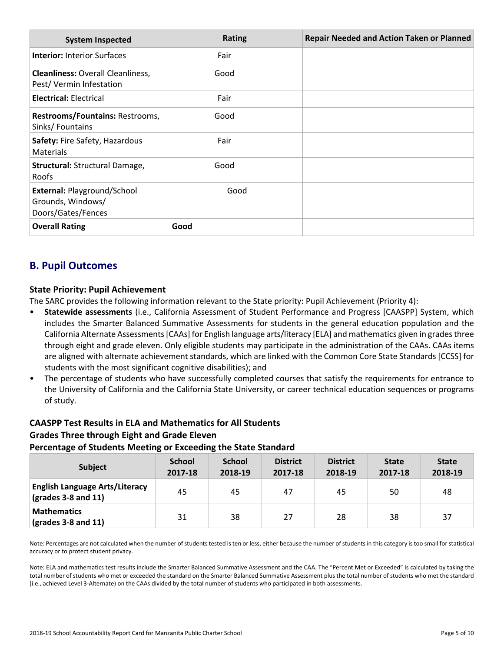| <b>System Inspected</b>                                                | <b>Rating</b> | <b>Repair Needed and Action Taken or Planned</b> |
|------------------------------------------------------------------------|---------------|--------------------------------------------------|
| <b>Interior: Interior Surfaces</b>                                     | Fair          |                                                  |
| <b>Cleanliness: Overall Cleanliness,</b><br>Pest/Vermin Infestation    | Good          |                                                  |
| <b>Electrical: Electrical</b>                                          | Fair          |                                                  |
| Restrooms/Fountains: Restrooms,<br>Sinks/Fountains                     | Good          |                                                  |
| Safety: Fire Safety, Hazardous<br><b>Materials</b>                     | Fair          |                                                  |
| <b>Structural: Structural Damage,</b><br>Roofs                         | Good          |                                                  |
| External: Playground/School<br>Grounds, Windows/<br>Doors/Gates/Fences | Good          |                                                  |
| <b>Overall Rating</b>                                                  | Good          |                                                  |

## **B. Pupil Outcomes**

## **State Priority: Pupil Achievement**

The SARC provides the following information relevant to the State priority: Pupil Achievement (Priority 4):

- **Statewide assessments** (i.e., California Assessment of Student Performance and Progress [CAASPP] System, which includes the Smarter Balanced Summative Assessments for students in the general education population and the California Alternate Assessments [CAAs] for English language arts/literacy [ELA] and mathematics given in grades three through eight and grade eleven. Only eligible students may participate in the administration of the CAAs. CAAs items are aligned with alternate achievement standards, which are linked with the Common Core State Standards [CCSS] for students with the most significant cognitive disabilities); and
- The percentage of students who have successfully completed courses that satisfy the requirements for entrance to the University of California and the California State University, or career technical education sequences or programs of study.

## **CAASPP Test Results in ELA and Mathematics for All Students Grades Three through Eight and Grade Eleven Percentage of Students Meeting or Exceeding the State Standard**

| <b>Subject</b>                                                                | <b>School</b><br>2017-18 | <b>School</b><br>2018-19 | <b>District</b><br>2017-18 | <b>District</b><br>2018-19 | <b>State</b><br>2017-18 | <b>State</b><br>2018-19 |
|-------------------------------------------------------------------------------|--------------------------|--------------------------|----------------------------|----------------------------|-------------------------|-------------------------|
| <b>English Language Arts/Literacy</b><br>$\left($ grades 3-8 and 11 $\right)$ | 45                       | 45                       | 47                         | 45                         | 50                      | 48                      |
| <b>Mathematics</b><br>$\frac{1}{2}$ (grades 3-8 and 11)                       | 31                       | 38                       | 27                         | 28                         | 38                      | 37                      |

Note: Percentages are not calculated when the number of students tested is ten or less, either because the number of students in this category is too small for statistical accuracy or to protect student privacy.

Note: ELA and mathematics test results include the Smarter Balanced Summative Assessment and the CAA. The "Percent Met or Exceeded" is calculated by taking the total number of students who met or exceeded the standard on the Smarter Balanced Summative Assessment plus the total number of students who met the standard (i.e., achieved Level 3-Alternate) on the CAAs divided by the total number of students who participated in both assessments.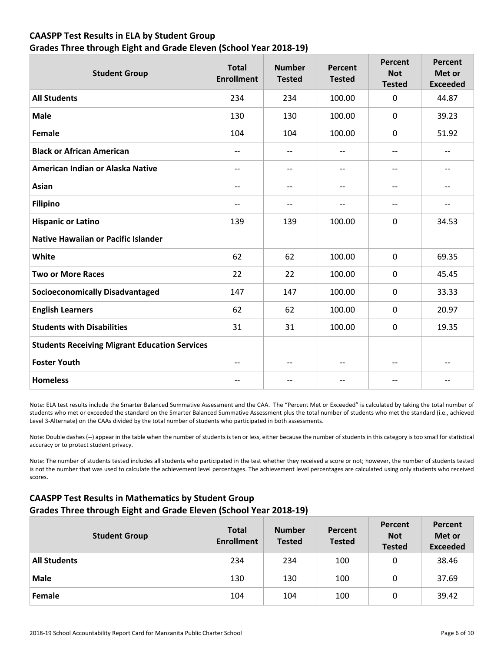## **CAASPP Test Results in ELA by Student Group**

## **Grades Three through Eight and Grade Eleven (School Year 2018-19)**

| <b>Student Group</b>                                 | <b>Total</b><br><b>Enrollment</b> | <b>Number</b><br><b>Tested</b> | <b>Percent</b><br><b>Tested</b> | <b>Percent</b><br><b>Not</b><br><b>Tested</b> | <b>Percent</b><br>Met or<br><b>Exceeded</b> |
|------------------------------------------------------|-----------------------------------|--------------------------------|---------------------------------|-----------------------------------------------|---------------------------------------------|
| <b>All Students</b>                                  | 234                               | 234                            | 100.00                          | $\mathbf 0$                                   | 44.87                                       |
| <b>Male</b>                                          | 130                               | 130                            | 100.00                          | $\mathbf 0$                                   | 39.23                                       |
| Female                                               | 104                               | 104                            | 100.00                          | $\mathbf{0}$                                  | 51.92                                       |
| <b>Black or African American</b>                     | $\qquad \qquad -$                 | $\qquad \qquad -$              | $\overline{\phantom{a}}$        | $\overline{\phantom{a}}$                      | $-$                                         |
| American Indian or Alaska Native                     | $\qquad \qquad -$                 | $-$                            | $\overline{\phantom{a}}$        | --                                            | --                                          |
| Asian                                                | $-$                               | $-$                            | $\overline{\phantom{a}}$        | $\overline{\phantom{a}}$                      | $-$                                         |
| <b>Filipino</b>                                      | $-$                               |                                | $-$                             | $\qquad \qquad -$                             | $-$                                         |
| <b>Hispanic or Latino</b>                            | 139                               | 139                            | 100.00                          | $\mathbf 0$                                   | 34.53                                       |
| <b>Native Hawaiian or Pacific Islander</b>           |                                   |                                |                                 |                                               |                                             |
| White                                                | 62                                | 62                             | 100.00                          | $\mathbf 0$                                   | 69.35                                       |
| <b>Two or More Races</b>                             | 22                                | 22                             | 100.00                          | $\mathbf 0$                                   | 45.45                                       |
| <b>Socioeconomically Disadvantaged</b>               | 147                               | 147                            | 100.00                          | $\mathbf 0$                                   | 33.33                                       |
| <b>English Learners</b>                              | 62                                | 62                             | 100.00                          | $\mathbf 0$                                   | 20.97                                       |
| <b>Students with Disabilities</b>                    | 31                                | 31                             | 100.00                          | $\mathbf 0$                                   | 19.35                                       |
| <b>Students Receiving Migrant Education Services</b> |                                   |                                |                                 |                                               |                                             |
| <b>Foster Youth</b>                                  | $\qquad \qquad -$                 | $-$                            | $-$                             | $\overline{\phantom{a}}$                      | --                                          |
| <b>Homeless</b>                                      | $-$                               | --                             | $-$                             | --                                            | $-$                                         |

Note: ELA test results include the Smarter Balanced Summative Assessment and the CAA. The "Percent Met or Exceeded" is calculated by taking the total number of students who met or exceeded the standard on the Smarter Balanced Summative Assessment plus the total number of students who met the standard (i.e., achieved Level 3-Alternate) on the CAAs divided by the total number of students who participated in both assessments.

Note: Double dashes (--) appear in the table when the number of students is ten or less, either because the number of students in this category is too small for statistical accuracy or to protect student privacy.

Note: The number of students tested includes all students who participated in the test whether they received a score or not; however, the number of students tested is not the number that was used to calculate the achievement level percentages. The achievement level percentages are calculated using only students who received scores.

## **CAASPP Test Results in Mathematics by Student Group Grades Three through Eight and Grade Eleven (School Year 2018-19)**

| <b>Student Group</b> | <b>Total</b><br><b>Enrollment</b> | <b>Number</b><br><b>Tested</b> | Percent<br><b>Tested</b> | Percent<br><b>Not</b><br><b>Tested</b> | Percent<br>Met or<br><b>Exceeded</b> |
|----------------------|-----------------------------------|--------------------------------|--------------------------|----------------------------------------|--------------------------------------|
| <b>All Students</b>  | 234                               | 234                            | 100                      | 0                                      | 38.46                                |
| <b>Male</b>          | 130                               | 130                            | 100                      | 0                                      | 37.69                                |
| Female               | 104                               | 104                            | 100                      | 0                                      | 39.42                                |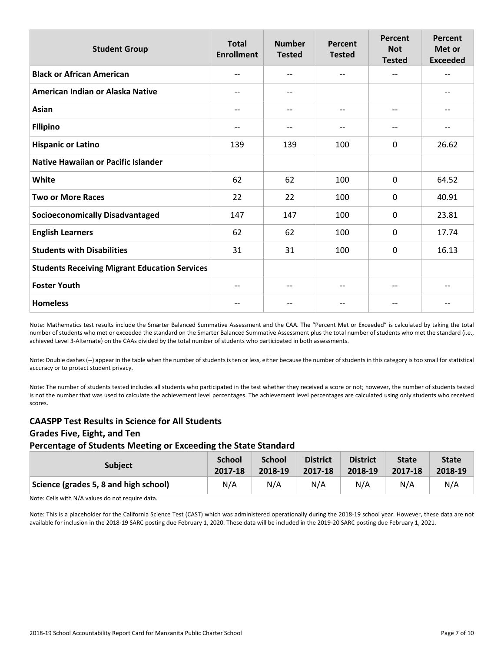| <b>Student Group</b>                                 | <b>Total</b><br><b>Enrollment</b> | <b>Number</b><br><b>Tested</b> | Percent<br><b>Tested</b>              | Percent<br><b>Not</b><br><b>Tested</b> | Percent<br>Met or<br><b>Exceeded</b> |
|------------------------------------------------------|-----------------------------------|--------------------------------|---------------------------------------|----------------------------------------|--------------------------------------|
| <b>Black or African American</b>                     | $-$                               | --                             | $-$                                   | $- -$                                  | $-$                                  |
| American Indian or Alaska Native                     | $\qquad \qquad -$                 | $- -$                          |                                       |                                        | $-\!$ $\!-$                          |
| Asian                                                | $-$                               | --                             | --                                    | $-\!$ $\!-$                            |                                      |
| <b>Filipino</b>                                      | $-$                               | --                             | $-$                                   | $\overline{\phantom{a}}$               | $-$                                  |
| <b>Hispanic or Latino</b>                            | 139                               | 139                            | 100                                   | $\Omega$                               | 26.62                                |
| <b>Native Hawaiian or Pacific Islander</b>           |                                   |                                |                                       |                                        |                                      |
| White                                                | 62                                | 62                             | 100                                   | 0                                      | 64.52                                |
| <b>Two or More Races</b>                             | 22                                | 22                             | 100                                   | $\mathbf 0$                            | 40.91                                |
| <b>Socioeconomically Disadvantaged</b>               | 147                               | 147                            | 100                                   | $\mathbf 0$                            | 23.81                                |
| <b>English Learners</b>                              | 62                                | 62                             | 100                                   | 0                                      | 17.74                                |
| <b>Students with Disabilities</b>                    | 31                                | 31                             | 100                                   | $\mathbf 0$                            | 16.13                                |
| <b>Students Receiving Migrant Education Services</b> |                                   |                                |                                       |                                        |                                      |
| <b>Foster Youth</b>                                  | $\hspace{0.05cm} \textbf{--}$     | --                             | $\hspace{0.05cm}$ – $\hspace{0.05cm}$ | $\hspace{0.05cm}$ $\hspace{0.05cm}$    | $\overline{\phantom{m}}$             |
| <b>Homeless</b>                                      |                                   |                                | $- -$                                 | --                                     |                                      |

Note: Mathematics test results include the Smarter Balanced Summative Assessment and the CAA. The "Percent Met or Exceeded" is calculated by taking the total number of students who met or exceeded the standard on the Smarter Balanced Summative Assessment plus the total number of students who met the standard (i.e., achieved Level 3-Alternate) on the CAAs divided by the total number of students who participated in both assessments.

Note: Double dashes (--) appear in the table when the number of students is ten or less, either because the number of students in this category is too small for statistical accuracy or to protect student privacy.

Note: The number of students tested includes all students who participated in the test whether they received a score or not; however, the number of students tested is not the number that was used to calculate the achievement level percentages. The achievement level percentages are calculated using only students who received scores.

## **CAASPP Test Results in Science for All Students Grades Five, Eight, and Ten Percentage of Students Meeting or Exceeding the State Standard**

#### **Subject School 2017-18 School 2018-19 District 2017-18 District 2018-19 State 2017-18 State 2018-19 Science (grades 5, 8 and high school)** N/A N/A N/A N/A N/A N/A

Note: Cells with N/A values do not require data.

Note: This is a placeholder for the California Science Test (CAST) which was administered operationally during the 2018-19 school year. However, these data are not available for inclusion in the 2018-19 SARC posting due February 1, 2020. These data will be included in the 2019-20 SARC posting due February 1, 2021.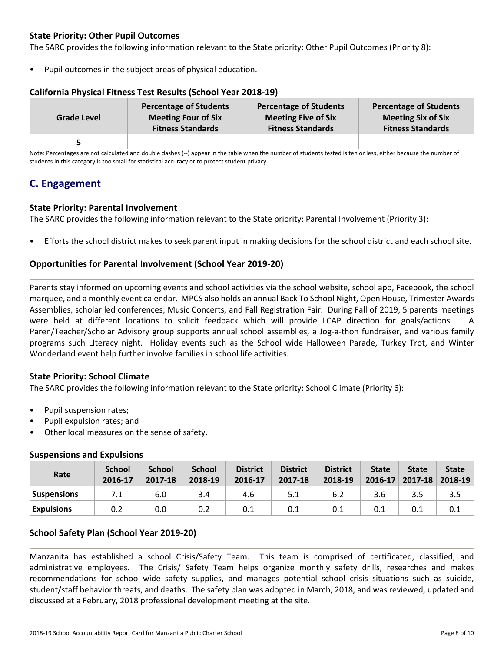## **State Priority: Other Pupil Outcomes**

The SARC provides the following information relevant to the State priority: Other Pupil Outcomes (Priority 8):

Pupil outcomes in the subject areas of physical education.

## **California Physical Fitness Test Results (School Year 2018-19)**

| <b>Grade Level</b> | <b>Percentage of Students</b> | <b>Percentage of Students</b> | <b>Percentage of Students</b> |
|--------------------|-------------------------------|-------------------------------|-------------------------------|
|                    | <b>Meeting Four of Six</b>    | <b>Meeting Five of Six</b>    | <b>Meeting Six of Six</b>     |
|                    | <b>Fitness Standards</b>      | <b>Fitness Standards</b>      | <b>Fitness Standards</b>      |
| 5                  |                               |                               |                               |

Note: Percentages are not calculated and double dashes (--) appear in the table when the number of students tested is ten or less, either because the number of students in this category is too small for statistical accuracy or to protect student privacy.

## **C. Engagement**

## **State Priority: Parental Involvement**

The SARC provides the following information relevant to the State priority: Parental Involvement (Priority 3):

• Efforts the school district makes to seek parent input in making decisions for the school district and each school site.

## **Opportunities for Parental Involvement (School Year 2019-20)**

Parents stay informed on upcoming events and school activities via the school website, school app, Facebook, the school marquee, and a monthly event calendar. MPCS also holds an annual Back To School Night, Open House, Trimester Awards Assemblies, scholar led conferences; Music Concerts, and Fall Registration Fair. During Fall of 2019, 5 parents meetings were held at different locations to solicit feedback which will provide LCAP direction for goals/actions. A Paren/Teacher/Scholar Advisory group supports annual school assemblies, a Jog-a-thon fundraiser, and various family programs such LIteracy night. Holiday events such as the School wide Halloween Parade, Turkey Trot, and Winter Wonderland event help further involve families in school life activities.

## **State Priority: School Climate**

The SARC provides the following information relevant to the State priority: School Climate (Priority 6):

- Pupil suspension rates;
- Pupil expulsion rates; and
- Other local measures on the sense of safety.

| Rate               | <b>School</b><br>2016-17 | <b>School</b><br>2017-18 | <b>School</b><br>2018-19 | <b>District</b><br>2016-17 | <b>District</b><br>2017-18 | <b>District</b><br>2018-19 | <b>State</b><br>$2016 - 17$ | <b>State</b><br>2017-18 2018-19 | <b>State</b> |
|--------------------|--------------------------|--------------------------|--------------------------|----------------------------|----------------------------|----------------------------|-----------------------------|---------------------------------|--------------|
| <b>Suspensions</b> | 7.1                      | 6.0                      | 3.4                      | 4.6                        | 5.1                        | 6.2                        | 3.6                         | 3.5                             | 3.5          |
| <b>Expulsions</b>  | 0.2                      | 0.0                      | 0.2                      | 0.1                        | 0.1                        | 0.1                        | 0.1                         | 0.1                             | 0.1          |

## **Suspensions and Expulsions**

## **School Safety Plan (School Year 2019-20)**

Manzanita has established a school Crisis/Safety Team. This team is comprised of certificated, classified, and administrative employees. The Crisis/ Safety Team helps organize monthly safety drills, researches and makes recommendations for school-wide safety supplies, and manages potential school crisis situations such as suicide, student/staff behavior threats, and deaths. The safety plan was adopted in March, 2018, and was reviewed, updated and discussed at a February, 2018 professional development meeting at the site.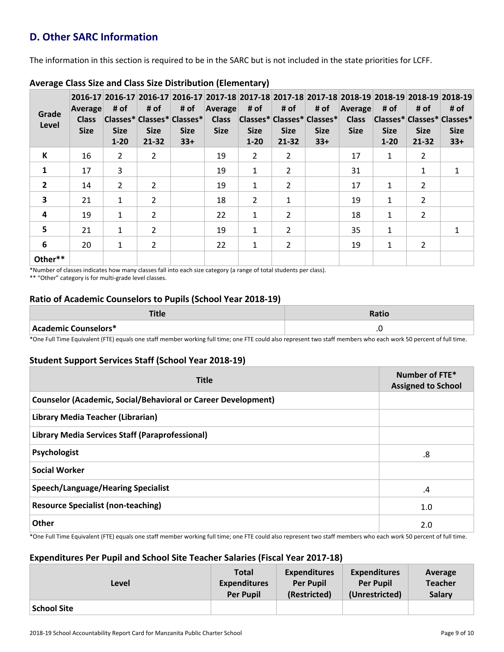## **D. Other SARC Information**

The information in this section is required to be in the SARC but is not included in the state priorities for LCFF.

| Grade<br>Level | Average<br><b>Class</b><br><b>Size</b> | # of<br><b>Size</b><br>$1 - 20$ | # of<br><b>Size</b><br>$21 - 32$ | # of<br>Classes* Classes* Classes*<br><b>Size</b><br>$33+$ | Average<br><b>Class</b><br><b>Size</b> | # of<br><b>Size</b><br>$1 - 20$ | # of<br> Classes* Classes* Classes* <br><b>Size</b><br>$21 - 32$ | # of<br><b>Size</b><br>$33+$ | Average<br><b>Class</b><br><b>Size</b> | # of<br><b>Size</b><br>$1-20$ | # of<br>Classes* Classes* Classes*<br><b>Size</b><br>$21 - 32$ | 2016-17 2016-17 2016-17 2016-17 2017-18 2017-18 2017-18 2017-18 2018-19 2018-19 2018-19 2018-19 2018-19<br># of<br><b>Size</b><br>$33+$ |
|----------------|----------------------------------------|---------------------------------|----------------------------------|------------------------------------------------------------|----------------------------------------|---------------------------------|------------------------------------------------------------------|------------------------------|----------------------------------------|-------------------------------|----------------------------------------------------------------|-----------------------------------------------------------------------------------------------------------------------------------------|
| К              | 16                                     | $\overline{2}$                  | $\overline{2}$                   |                                                            | 19                                     | $\overline{2}$                  | $\overline{2}$                                                   |                              | 17                                     | $\mathbf{1}$                  | 2                                                              |                                                                                                                                         |
| 1              | 17                                     | 3                               |                                  |                                                            | 19                                     | $\mathbf{1}$                    | $\overline{2}$                                                   |                              | 31                                     |                               | 1                                                              |                                                                                                                                         |
| $\mathbf{2}$   | 14                                     | $\overline{2}$                  | $\overline{2}$                   |                                                            | 19                                     | $\mathbf{1}$                    | 2                                                                |                              | 17                                     | 1                             | $\overline{2}$                                                 |                                                                                                                                         |
| 3              | 21                                     | $\mathbf{1}$                    | 2                                |                                                            | 18                                     | $\overline{2}$                  | $\mathbf 1$                                                      |                              | 19                                     | 1                             | 2                                                              |                                                                                                                                         |
| 4              | 19                                     | $\mathbf{1}$                    | $\overline{2}$                   |                                                            | 22                                     | $\mathbf{1}$                    | $\overline{2}$                                                   |                              | 18                                     | 1                             | $\overline{2}$                                                 |                                                                                                                                         |
| 5              | 21                                     | $\mathbf{1}$                    | $\overline{2}$                   |                                                            | 19                                     | $\mathbf{1}$                    | $\overline{2}$                                                   |                              | 35                                     | 1                             |                                                                | 1                                                                                                                                       |
| 6              | 20                                     | $\mathbf{1}$                    | $\overline{2}$                   |                                                            | 22                                     | 1                               | $\overline{2}$                                                   |                              | 19                                     | $\mathbf{1}$                  | 2                                                              |                                                                                                                                         |
| Other**        |                                        |                                 |                                  |                                                            |                                        |                                 |                                                                  |                              |                                        |                               |                                                                |                                                                                                                                         |

## **Average Class Size and Class Size Distribution (Elementary)**

\*Number of classes indicates how many classes fall into each size category (a range of total students per class).

\*\* "Other" category is for multi-grade level classes.

## **Ratio of Academic Counselors to Pupils (School Year 2018-19)**

|                      | Ratio |
|----------------------|-------|
| Academic Counselors* |       |

\*One Full Time Equivalent (FTE) equals one staff member working full time; one FTE could also represent two staff members who each work 50 percent of full time.

## **Student Support Services Staff (School Year 2018-19)**

| <b>Title</b>                                                         | Number of FTE*<br><b>Assigned to School</b> |
|----------------------------------------------------------------------|---------------------------------------------|
| <b>Counselor (Academic, Social/Behavioral or Career Development)</b> |                                             |
| Library Media Teacher (Librarian)                                    |                                             |
| Library Media Services Staff (Paraprofessional)                      |                                             |
| Psychologist                                                         | .8                                          |
| <b>Social Worker</b>                                                 |                                             |
| <b>Speech/Language/Hearing Specialist</b>                            | $\cdot$                                     |
| <b>Resource Specialist (non-teaching)</b>                            | 1.0                                         |
| Other                                                                | 2.0                                         |

\*One Full Time Equivalent (FTE) equals one staff member working full time; one FTE could also represent two staff members who each work 50 percent of full time.

## **Expenditures Per Pupil and School Site Teacher Salaries (Fiscal Year 2017-18)**

| Level              | <b>Total</b>        | <b>Expenditures</b> | <b>Expenditures</b> | Average        |
|--------------------|---------------------|---------------------|---------------------|----------------|
|                    | <b>Expenditures</b> | <b>Per Pupil</b>    | <b>Per Pupil</b>    | <b>Teacher</b> |
|                    | <b>Per Pupil</b>    | (Restricted)        | (Unrestricted)      | <b>Salary</b>  |
| <b>School Site</b> |                     |                     |                     |                |